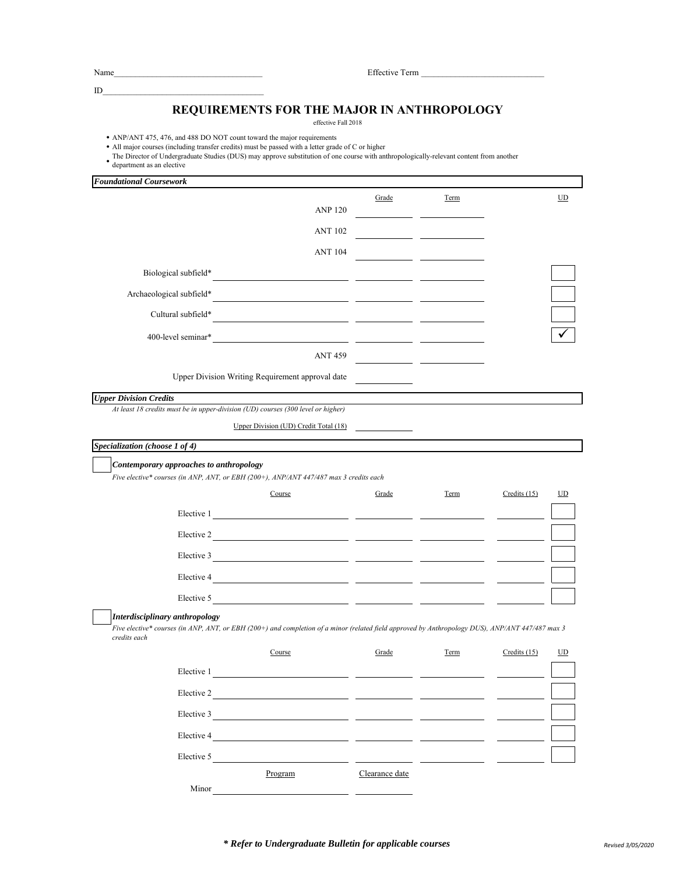Name\_\_\_\_\_\_\_\_\_\_\_\_\_\_\_\_\_\_\_\_\_\_\_\_\_\_\_\_\_\_\_\_\_\_\_ Effective Term \_\_\_\_\_\_\_\_\_\_\_\_\_\_\_\_\_\_\_\_\_\_\_\_\_\_\_\_\_

## $ID$

## **REQUIREMENTS FOR THE MAJOR IN ANTHROPOLOGY**

effective Fall 2018

• ANP/ANT 475, 476, and 488 DO NOT count toward the major requirements

- All major courses (including transfer credits) must be passed with a letter grade of C or higher
- The Director of Undergraduate Studies (DUS) may approve substitution of one course with anthropologically-relevant content from another<br>department as an elective
- department as an elective

| <b>Foundational Coursework</b>                                                                                                                                                                                                                     |       |      |                      |
|----------------------------------------------------------------------------------------------------------------------------------------------------------------------------------------------------------------------------------------------------|-------|------|----------------------|
|                                                                                                                                                                                                                                                    | Grade | Term | UD                   |
| <b>ANP 120</b>                                                                                                                                                                                                                                     |       |      |                      |
| <b>ANT 102</b>                                                                                                                                                                                                                                     |       |      |                      |
| <b>ANT 104</b>                                                                                                                                                                                                                                     |       |      |                      |
| Biological subfield*                                                                                                                                                                                                                               |       |      |                      |
| Archaeological subfield*                                                                                                                                                                                                                           |       |      |                      |
| Cultural subfield*                                                                                                                                                                                                                                 |       |      |                      |
| 400-level seminar*<br><u> 1980 - Jan Samuel Barbara, martin a</u>                                                                                                                                                                                  |       |      |                      |
| <b>ANT 459</b>                                                                                                                                                                                                                                     |       |      |                      |
| Upper Division Writing Requirement approval date                                                                                                                                                                                                   |       |      |                      |
| <b>Upper Division Credits</b>                                                                                                                                                                                                                      |       |      |                      |
| At least 18 credits must be in upper-division (UD) courses (300 level or higher)                                                                                                                                                                   |       |      |                      |
| Upper Division (UD) Credit Total (18)                                                                                                                                                                                                              |       |      |                      |
| Specialization (choose 1 of 4)                                                                                                                                                                                                                     |       |      |                      |
| Contemporary approaches to anthropology<br>Five elective* courses (in ANP, ANT, or EBH (200+), ANP/ANT 447/487 max 3 credits each                                                                                                                  |       |      |                      |
| Course                                                                                                                                                                                                                                             | Grade | Term | Credits $(15)$<br>UD |
|                                                                                                                                                                                                                                                    |       |      |                      |
| Elective 2<br><u> 1989 - Jan Stein Harry Harry Harry Harry Harry Harry Harry Harry Harry Harry Harry Harry Harry Harry Harry Harry Harry Harry Harry Harry Harry Harry Harry Harry Harry Harry Harry Harry Harry Harry Harry Harry Harry Harry</u> |       |      |                      |
| Elective 3                                                                                                                                                                                                                                         |       |      |                      |
| Elective 4<br><u> 1989 - Johann Marie Barn, mars an t-Amerikaansk konst</u>                                                                                                                                                                        |       |      |                      |
| Elective 5<br><u>and the company of the company of the company of the company of the company of the company of the company of the company of the company of the company of the company of the company of the company of the company of the com</u> |       |      |                      |
| Interdisciplinary anthropology<br>Five elective* courses (in ANP, ANT, or EBH (200+) and completion of a minor (related field approved by Anthropology DUS), ANP/ANT 447/487 max 3<br>credits each                                                 |       |      |                      |
| Course                                                                                                                                                                                                                                             | Grade | Term | Credits $(15)$<br>UD |
| Elective 1                                                                                                                                                                                                                                         |       |      |                      |
| Elective 2                                                                                                                                                                                                                                         |       |      |                      |
| Elective 3                                                                                                                                                                                                                                         |       |      |                      |
| Elective 4                                                                                                                                                                                                                                         |       |      |                      |
| Elective 5                                                                                                                                                                                                                                         |       |      |                      |

Program Clearance date

Minor